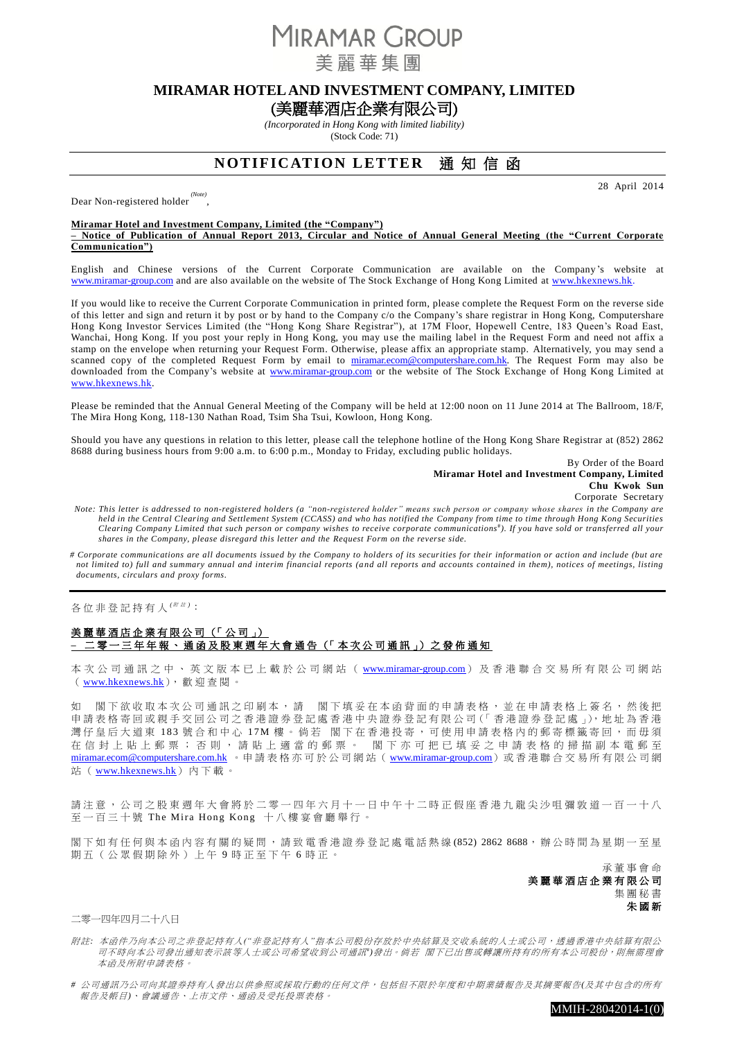**MIRAMAR GROUP** 

美麗華隼團

## **MIRAMAR HOTEL AND INVESTMENT COMPANY, LIMITED**

(美麗華酒店企業有限公司)

*(Incorporated in Hong Kong with limited liability)* (Stock Code: 71)

# **NOTIFICATION LETTER** 通知信函

Dear Non-registered holder *(Note)* ,

28 April 2014

### **Miramar Hotel and Investment Company, Limited (the "Company")**

**– Notice of Publication of Annual Report 2013, Circular and Notice of Annual General Meeting (the "Current Corporate Communication")**

English and Chinese versions of the Current Corporate Communication are available on the Company 's website at [www.miramar-group.com](http://www.miramar-group.com/) and are also available on the website of The Stock Exchange of Hong Kong Limited at [www.hkexnews.hk.](http://www.hkexnews.hk/)

If you would like to receive the Current Corporate Communication in printed form, please complete the Request Form on the reverse side of this letter and sign and return it by post or by hand to the Company c/o the Company's share registrar in Hong Kong, Computershare Hong Kong Investor Services Limited (the "Hong Kong Share Registrar"), at 17M Floor, Hopewell Centre, 183 Queen's Road East, Wanchai, Hong Kong. If you post your reply in Hong Kong, you may use the mailing label in the Request Form and need not affix a stamp on the envelope when returning your Request Form. Otherwise, please affix an appropriate stamp. Alternatively, you may send a scanned copy of the completed Request Form by email to [miramar.ecom@computershare.com.hk.](mailto:miramar.ecom@computershare.com.hk) The Request Form may also be downloaded from the Company's website at [www.miramar-group.com](http://www.miramar-group.com/) or the website of The Stock Exchange of Hong Kong Limited at [www.hkexnews.hk.](http://www.hkexnews.hk/)

Please be reminded that the Annual General Meeting of the Company will be held at 12:00 noon on 11 June 2014 at The Ballroom, 18/F, The Mira Hong Kong, 118-130 Nathan Road, Tsim Sha Tsui, Kowloon, Hong Kong.

Should you have any questions in relation to this letter, please call the telephone hotline of the Hong Kong Share Registrar at (852) 2862 8688 during business hours from 9:00 a.m. to 6:00 p.m., Monday to Friday, excluding public holidays.

> By Order of the Board **Miramar Hotel and Investment Company, Limited Chu Kwok Sun** Corporate Secretary

*Note: This letter is addressed to non-registered holders (a "non-registered holder" means such person or company whose shares in the Company are held in the Central Clearing and Settlement System (CCASS) and who has notified the Company from time to time through Hong Kong Securities Clearing Company Limited that such person or company wishes to receive corporate communications* # *). If you have sold or transferred all your shares in the Company, please disregard this letter and the Request Form on the reverse side.*

*# Corporate communications are all documents issued by the Company to holders of its securities for their information or action and include (but are not limited to) full and summary annual and interim financial reports (a nd all reports and accounts contained in them), notices of meetings, listing documents, circulars and proxy forms.*

各 位 非 登 記 持 有 人 <sup>( / 注)</sup>:

### 美麗華酒店企業有限公司 (「公司」) **–** 二 零 一 三 年 年 報 、 通 函 及 股 東 週 年 大 會 通 告 (「 本 次 公 司 通 訊 」) 之 發 佈 通 知

本 次 公 司 通 訊 之 中 、 英 文 版 本 已 上 載 於 公 司 網 站 ( [www.miramar-group.com](http://www.miramar-group.com/)) 及 香 港 聯 合 交 易 所 有 限 公 司 網 站 ([www.hkexnews.hk](http://www.hkexnews.hk/)),歡迎查閱。

如 閣下欲收取本次公司通訊之印刷本,請 閣下填妥在本函背面的申請表格,並在申請表格上簽名,然後把 申請表格寄回或親手交回公司之香港證券登記處香港中央證券登記有限公司(「香港證券登記處」),地址為香港 灣仔皇后大道東 183 號合和中心 17M 樓。倘若 閣下在香港投寄,可使用申請表格內的郵寄標籤寄回,而毋須 在信封上貼上郵票;否則,請貼上適當的郵票。 閣下亦可把已填妥之申請表格的掃描副本電郵至 [miramar.ecom@computershare.com.hk](mailto:miramar.ecom@computershare.com.hk) 。申請表格亦可於公司網站([www.miramar-group.com](http://www.miramar-group.com/))或香港聯合交易所有限公司網 站 ( [www.hkexnews.hk](http://www.hkexnews.hk/)) 內下載。

請注意,公司之股東週年大會將於二零一四年六月十一日中午十二時正假座香港九龍尖沙咀彌敦道一百一十八 至一百三十號 The Mira Hong Kong 十八樓宴會廳舉行。

閣下如有任何與本函內容有關的疑問,請致電香港證券登記處電話熱線(852) 2862 8688,辦公時間為星期一至星 期五(公眾假期除外)上午9時正至下午6時正。

> 承 董 事 會 命 美麗華酒店企業有限公司 集 團 秘 書 朱 國 新

二零一四年四月二十八日

附註*:* 本函件乃向本公司之非登記持有人*("*非登記持有人*"*指本公司股份存放於中央結算及交收系統的人士或公司,透過香港中央結算有限公 司不時向本公司發出通知表示該等人士或公司希望收到公司通訊")發出。 倘若 閣下已出售或轉讓所持有的所有本公司股份,則無需理會 本函及所附申請表格。

*#* 公司通訊乃公司向其證券持有人發出以供參照或採取行動的任何文件,包括但不限於年度和中期業績報告及其摘要報告*(*及其中包含的所有 報告及帳目*)*、會議通告、上市文件、通函及受托投票表格。